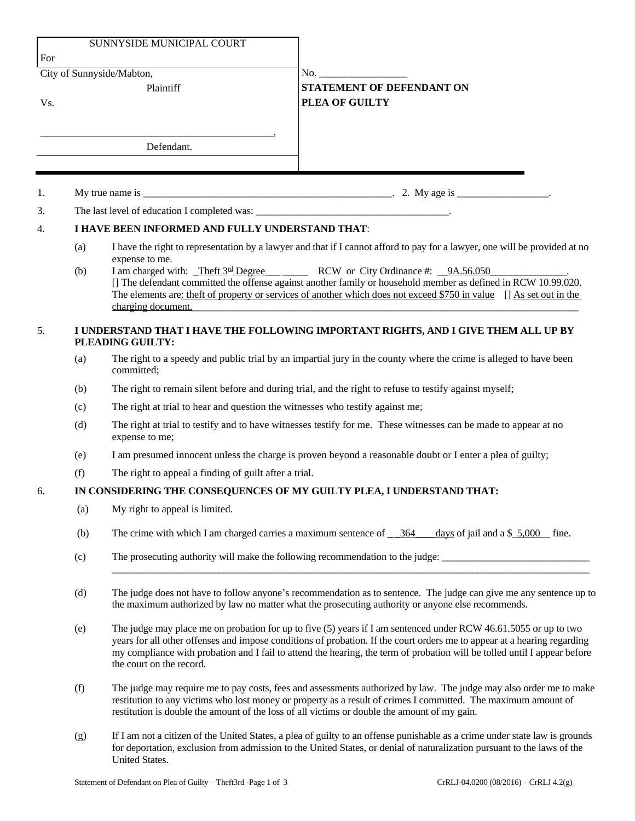| For                       |                                                                                                        | SUNNYSIDE MUNICIPAL COURT                                                                                                                                                                                                                                                                                                                                                                             |                                                                                                                            |  |
|---------------------------|--------------------------------------------------------------------------------------------------------|-------------------------------------------------------------------------------------------------------------------------------------------------------------------------------------------------------------------------------------------------------------------------------------------------------------------------------------------------------------------------------------------------------|----------------------------------------------------------------------------------------------------------------------------|--|
| City of Sunnyside/Mabton, |                                                                                                        |                                                                                                                                                                                                                                                                                                                                                                                                       | No.                                                                                                                        |  |
| Vs.                       |                                                                                                        | Plaintiff                                                                                                                                                                                                                                                                                                                                                                                             | STATEMENT OF DEFENDANT ON<br>PLEA OF GUILTY                                                                                |  |
|                           |                                                                                                        | Defendant.                                                                                                                                                                                                                                                                                                                                                                                            |                                                                                                                            |  |
|                           |                                                                                                        |                                                                                                                                                                                                                                                                                                                                                                                                       |                                                                                                                            |  |
| 1.                        |                                                                                                        |                                                                                                                                                                                                                                                                                                                                                                                                       |                                                                                                                            |  |
| 3.                        |                                                                                                        |                                                                                                                                                                                                                                                                                                                                                                                                       |                                                                                                                            |  |
| 4.                        | I HAVE BEEN INFORMED AND FULLY UNDERSTAND THAT:                                                        |                                                                                                                                                                                                                                                                                                                                                                                                       |                                                                                                                            |  |
|                           | (a)                                                                                                    |                                                                                                                                                                                                                                                                                                                                                                                                       | I have the right to representation by a lawyer and that if I cannot afford to pay for a lawyer, one will be provided at no |  |
|                           | (b)                                                                                                    | expense to me.<br>I am charged with: Theft 3rd Degree RCW or City Ordinance #: 9A.56.050<br>[] The defendant committed the offense against another family or household member as defined in RCW 10.99.020.<br>The elements are: theft of property or services of another which does not exceed \$750 in value [] As set out in the<br>charging document.                                              |                                                                                                                            |  |
| 5.                        | I UNDERSTAND THAT I HAVE THE FOLLOWING IMPORTANT RIGHTS, AND I GIVE THEM ALL UP BY<br>PLEADING GUILTY: |                                                                                                                                                                                                                                                                                                                                                                                                       |                                                                                                                            |  |
|                           | (a)                                                                                                    | The right to a speedy and public trial by an impartial jury in the county where the crime is alleged to have been<br>committed;                                                                                                                                                                                                                                                                       |                                                                                                                            |  |
|                           | (b)                                                                                                    | The right to remain silent before and during trial, and the right to refuse to testify against myself;                                                                                                                                                                                                                                                                                                |                                                                                                                            |  |
|                           | (c)                                                                                                    | The right at trial to hear and question the witnesses who testify against me;                                                                                                                                                                                                                                                                                                                         |                                                                                                                            |  |
|                           | (d)                                                                                                    | The right at trial to testify and to have witnesses testify for me. These witnesses can be made to appear at no<br>expense to me;                                                                                                                                                                                                                                                                     |                                                                                                                            |  |
|                           | (e)                                                                                                    | I am presumed innocent unless the charge is proven beyond a reasonable doubt or I enter a plea of guilty;                                                                                                                                                                                                                                                                                             |                                                                                                                            |  |
|                           | (f)                                                                                                    | The right to appeal a finding of guilt after a trial.                                                                                                                                                                                                                                                                                                                                                 |                                                                                                                            |  |
| 6.                        | IN CONSIDERING THE CONSEQUENCES OF MY GUILTY PLEA, I UNDERSTAND THAT:                                  |                                                                                                                                                                                                                                                                                                                                                                                                       |                                                                                                                            |  |
|                           | (a)                                                                                                    | My right to appeal is limited.                                                                                                                                                                                                                                                                                                                                                                        |                                                                                                                            |  |
|                           | (b)                                                                                                    | The crime with which I am charged carries a maximum sentence of $\frac{364}{125}$<br>days of jail and a $$5,000$ fine.                                                                                                                                                                                                                                                                                |                                                                                                                            |  |
|                           | (c)                                                                                                    | The prosecuting authority will make the following recommendation to the judge:                                                                                                                                                                                                                                                                                                                        |                                                                                                                            |  |
|                           | (d)                                                                                                    | The judge does not have to follow anyone's recommendation as to sentence. The judge can give me any sentence up to<br>the maximum authorized by law no matter what the prosecuting authority or anyone else recommends.                                                                                                                                                                               |                                                                                                                            |  |
|                           | (e)                                                                                                    | The judge may place me on probation for up to five (5) years if I am sentenced under RCW 46.61.5055 or up to two<br>years for all other offenses and impose conditions of probation. If the court orders me to appear at a hearing regarding<br>my compliance with probation and I fail to attend the hearing, the term of probation will be tolled until I appear before<br>the court on the record. |                                                                                                                            |  |
|                           | (f)                                                                                                    | The judge may require me to pay costs, fees and assessments authorized by law. The judge may also order me to make<br>restitution to any victims who lost money or property as a result of crimes I committed. The maximum amount of<br>restitution is double the amount of the loss of all victims or double the amount of my gain.                                                                  |                                                                                                                            |  |
|                           | (g)                                                                                                    | If I am not a citizen of the United States, a plea of guilty to an offense punishable as a crime under state law is grounds<br>for deportation, exclusion from admission to the United States, or denial of naturalization pursuant to the laws of the<br>United States.                                                                                                                              |                                                                                                                            |  |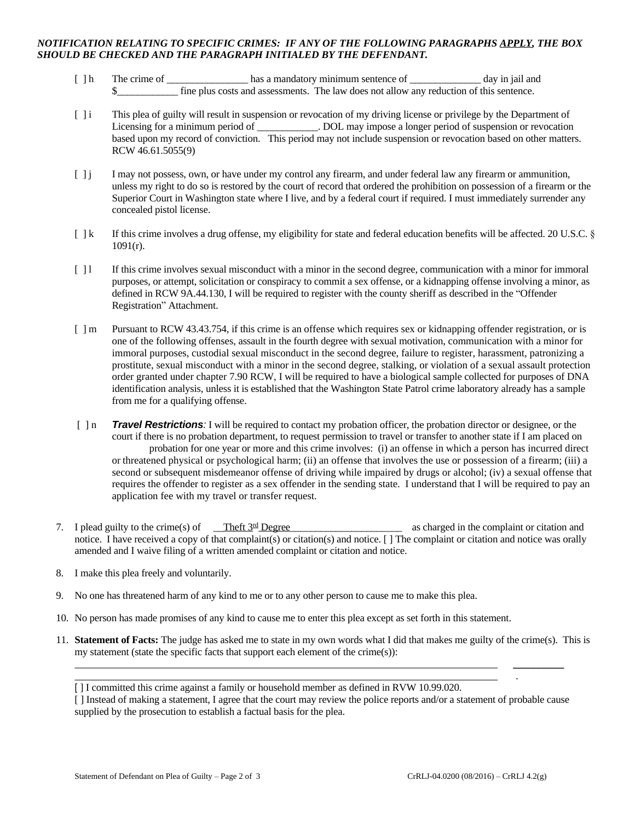## *NOTIFICATION RELATING TO SPECIFIC CRIMES: IF ANY OF THE FOLLOWING PARAGRAPHS APPLY, THE BOX SHOULD BE CHECKED AND THE PARAGRAPH INITIALED BY THE DEFENDANT.*

- [ ] h The crime of \_\_\_\_\_\_\_\_\_\_\_\_\_\_\_\_\_\_\_\_\_ has a mandatory minimum sentence of \_\_\_\_\_\_\_\_\_\_\_\_\_\_\_\_ day in jail and \$\_\_\_\_\_\_\_\_\_\_\_\_ fine plus costs and assessments. The law does not allow any reduction of this sentence.
- [ ] i This plea of guilty will result in suspension or revocation of my driving license or privilege by the Department of Licensing for a minimum period of \_\_\_\_\_\_\_\_\_\_\_. DOL may impose a longer period of suspension or revocation based upon my record of conviction. This period may not include suspension or revocation based on other matters. RCW 46.61.5055(9)
- [ ] j I may not possess, own, or have under my control any firearm, and under federal law any firearm or ammunition, unless my right to do so is restored by the court of record that ordered the prohibition on possession of a firearm or the Superior Court in Washington state where I live, and by a federal court if required. I must immediately surrender any concealed pistol license.
- [ ] k If this crime involves a drug offense, my eligibility for state and federal education benefits will be affected. 20 U.S.C. § 1091(r).
- [ ] l If this crime involves sexual misconduct with a minor in the second degree, communication with a minor for immoral purposes, or attempt, solicitation or conspiracy to commit a sex offense, or a kidnapping offense involving a minor, as defined in RCW 9A.44.130, I will be required to register with the county sheriff as described in the "Offender Registration" Attachment.
- [ ] m Pursuant to RCW 43.43.754, if this crime is an offense which requires sex or kidnapping offender registration, or is one of the following offenses, assault in the fourth degree with sexual motivation, communication with a minor for immoral purposes, custodial sexual misconduct in the second degree, failure to register, harassment, patronizing a prostitute, sexual misconduct with a minor in the second degree, stalking, or violation of a sexual assault protection order granted under chapter 7.90 RCW, I will be required to have a biological sample collected for purposes of DNA identification analysis, unless it is established that the Washington State Patrol crime laboratory already has a sample from me for a qualifying offense.
- [ ] n *Travel Restrictions:* I will be required to contact my probation officer, the probation director or designee, or the court if there is no probation department, to request permission to travel or transfer to another state if I am placed on probation for one year or more and this crime involves: (i) an offense in which a person has incurred direct or threatened physical or psychological harm; (ii) an offense that involves the use or possession of a firearm; (iii) a second or subsequent misdemeanor offense of driving while impaired by drugs or alcohol; (iv) a sexual offense that requires the offender to register as a sex offender in the sending state. I understand that I will be required to pay an application fee with my travel or transfer request.
- 7. I plead guilty to the crime(s) of Theft  $3<sup>rd</sup>$  Degree as charged in the complaint or citation and notice. I have received a copy of that complaint(s) or citation(s) and notice. [ ] The complaint or citation and notice was orally amended and I waive filing of a written amended complaint or citation and notice.
- 8. I make this plea freely and voluntarily.
- 9. No one has threatened harm of any kind to me or to any other person to cause me to make this plea.
- 10. No person has made promises of any kind to cause me to enter this plea except as set forth in this statement.
- 11. **Statement of Facts:** The judge has asked me to state in my own words what I did that makes me guilty of the crime(s). This is my statement (state the specific facts that support each element of the crime(s)):

 $\overline{\phantom{a}}$ 

.

<sup>[</sup> ] I committed this crime against a family or household member as defined in RVW 10.99.020.

<sup>[ ]</sup> Instead of making a statement, I agree that the court may review the police reports and/or a statement of probable cause supplied by the prosecution to establish a factual basis for the plea.